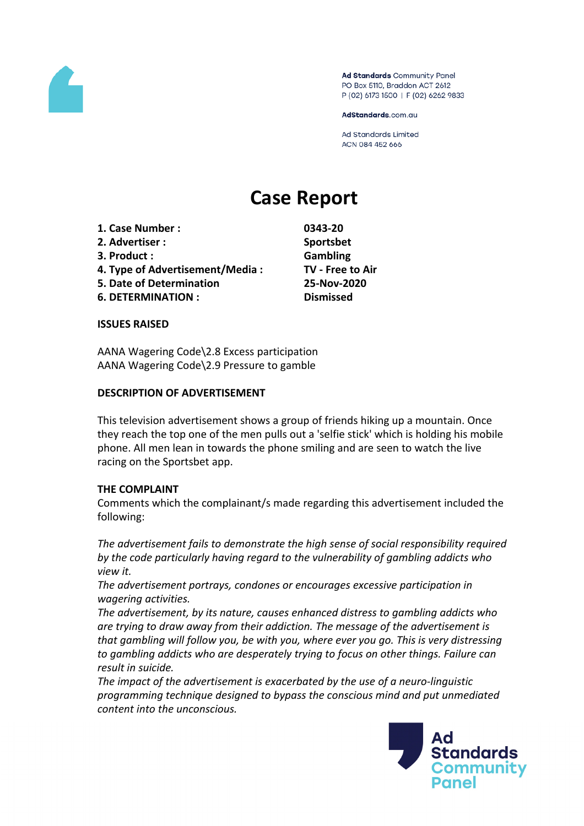

Ad Standards Community Panel PO Box 5110, Braddon ACT 2612 P (02) 6173 1500 | F (02) 6262 9833

AdStandards.com.au

**Ad Standards Limited** ACN 084 452 666

# **Case Report**

- **1. Case Number : 0343-20**
- **2. Advertiser : Sportsbet**
- **3. Product : Gambling**
- **4. Type of Advertisement/Media : TV - Free to Air**
- **5. Date of Determination 25-Nov-2020**
- **6. DETERMINATION : Dismissed**

#### **ISSUES RAISED**

AANA Wagering Code\2.8 Excess participation AANA Wagering Code\2.9 Pressure to gamble

## **DESCRIPTION OF ADVERTISEMENT**

This television advertisement shows a group of friends hiking up a mountain. Once they reach the top one of the men pulls out a 'selfie stick' which is holding his mobile phone. All men lean in towards the phone smiling and are seen to watch the live racing on the Sportsbet app.

## **THE COMPLAINT**

Comments which the complainant/s made regarding this advertisement included the following:

*The advertisement fails to demonstrate the high sense of social responsibility required by the code particularly having regard to the vulnerability of gambling addicts who view it.*

*The advertisement portrays, condones or encourages excessive participation in wagering activities.*

*The advertisement, by its nature, causes enhanced distress to gambling addicts who are trying to draw away from their addiction. The message of the advertisement is that gambling will follow you, be with you, where ever you go. This is very distressing to gambling addicts who are desperately trying to focus on other things. Failure can result in suicide.*

*The impact of the advertisement is exacerbated by the use of a neuro-linguistic programming technique designed to bypass the conscious mind and put unmediated content into the unconscious.*

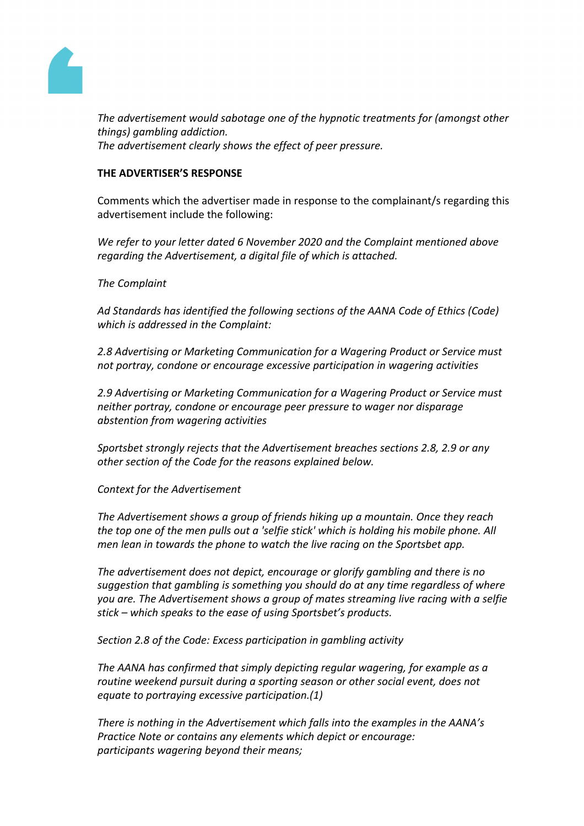

*The advertisement would sabotage one of the hypnotic treatments for (amongst other things) gambling addiction. The advertisement clearly shows the effect of peer pressure.*

## **THE ADVERTISER'S RESPONSE**

Comments which the advertiser made in response to the complainant/s regarding this advertisement include the following:

*We refer to your letter dated 6 November 2020 and the Complaint mentioned above regarding the Advertisement, a digital file of which is attached.*

*The Complaint*

*Ad Standards has identified the following sections of the AANA Code of Ethics (Code) which is addressed in the Complaint:*

*2.8 Advertising or Marketing Communication for a Wagering Product or Service must not portray, condone or encourage excessive participation in wagering activities*

*2.9 Advertising or Marketing Communication for a Wagering Product or Service must neither portray, condone or encourage peer pressure to wager nor disparage abstention from wagering activities*

*Sportsbet strongly rejects that the Advertisement breaches sections 2.8, 2.9 or any other section of the Code for the reasons explained below.* 

*Context for the Advertisement*

*The Advertisement shows a group of friends hiking up a mountain. Once they reach the top one of the men pulls out a 'selfie stick' which is holding his mobile phone. All men lean in towards the phone to watch the live racing on the Sportsbet app.*

*The advertisement does not depict, encourage or glorify gambling and there is no suggestion that gambling is something you should do at any time regardless of where you are. The Advertisement shows a group of mates streaming live racing with a selfie stick – which speaks to the ease of using Sportsbet's products.*

*Section 2.8 of the Code: Excess participation in gambling activity*

*The AANA has confirmed that simply depicting regular wagering, for example as a routine weekend pursuit during a sporting season or other social event, does not equate to portraying excessive participation.(1)* 

*There is nothing in the Advertisement which falls into the examples in the AANA's Practice Note or contains any elements which depict or encourage: participants wagering beyond their means;*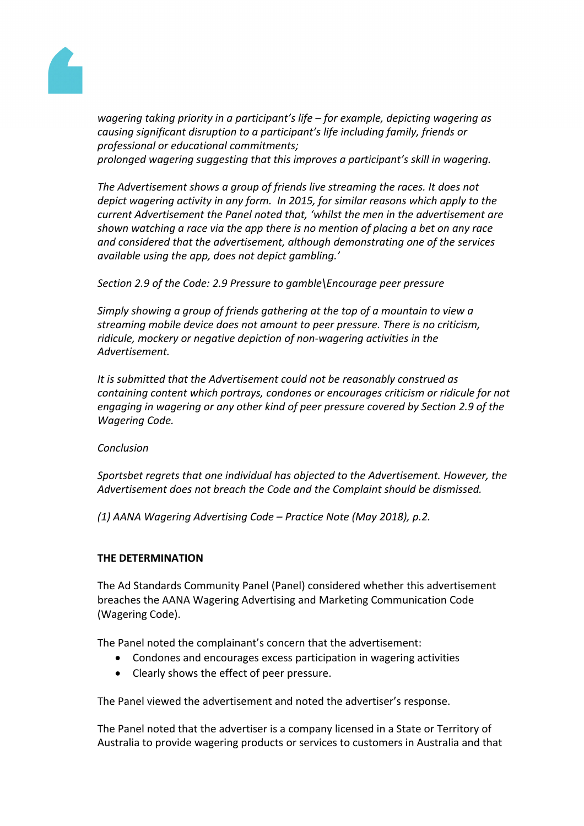

*wagering taking priority in a participant's life – for example, depicting wagering as causing significant disruption to a participant's life including family, friends or professional or educational commitments; prolonged wagering suggesting that this improves a participant's skill in wagering.*

*The Advertisement shows a group of friends live streaming the races. It does not depict wagering activity in any form. In 2015, for similar reasons which apply to the current Advertisement the Panel noted that, 'whilst the men in the advertisement are shown watching a race via the app there is no mention of placing a bet on any race and considered that the advertisement, although demonstrating one of the services available using the app, does not depict gambling.'*

*Section 2.9 of the Code: 2.9 Pressure to gamble\Encourage peer pressure*

*Simply showing a group of friends gathering at the top of a mountain to view a streaming mobile device does not amount to peer pressure. There is no criticism, ridicule, mockery or negative depiction of non-wagering activities in the Advertisement.*

*It is submitted that the Advertisement could not be reasonably construed as containing content which portrays, condones or encourages criticism or ridicule for not engaging in wagering or any other kind of peer pressure covered by Section 2.9 of the Wagering Code.*

*Conclusion*

*Sportsbet regrets that one individual has objected to the Advertisement. However, the Advertisement does not breach the Code and the Complaint should be dismissed.*

*(1) AANA Wagering Advertising Code – Practice Note (May 2018), p.2.*

## **THE DETERMINATION**

The Ad Standards Community Panel (Panel) considered whether this advertisement breaches the AANA Wagering Advertising and Marketing Communication Code (Wagering Code).

The Panel noted the complainant's concern that the advertisement:

- Condones and encourages excess participation in wagering activities
- Clearly shows the effect of peer pressure.

The Panel viewed the advertisement and noted the advertiser's response.

The Panel noted that the advertiser is a company licensed in a State or Territory of Australia to provide wagering products or services to customers in Australia and that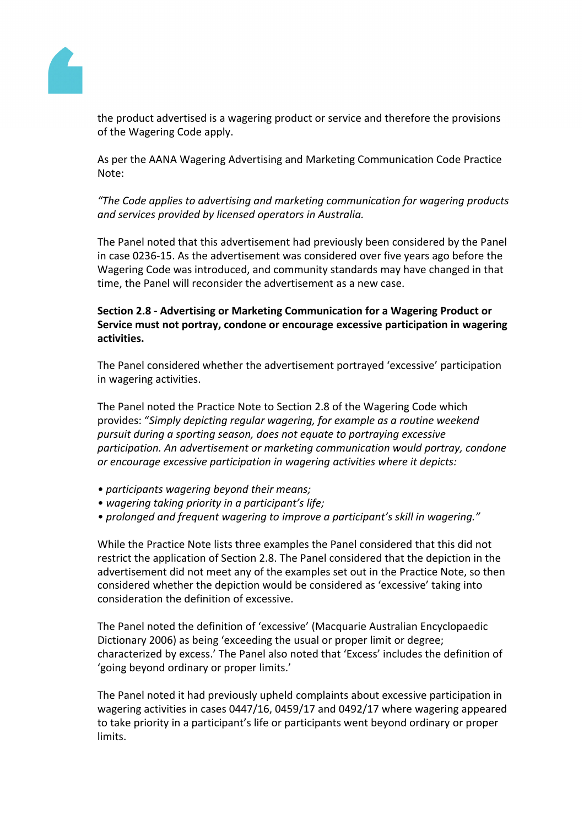

the product advertised is a wagering product or service and therefore the provisions of the Wagering Code apply.

As per the AANA Wagering Advertising and Marketing Communication Code Practice Note:

*"The Code applies to advertising and marketing communication for wagering products and services provided by licensed operators in Australia.*

The Panel noted that this advertisement had previously been considered by the Panel in case 0236-15. As the advertisement was considered over five years ago before the Wagering Code was introduced, and community standards may have changed in that time, the Panel will reconsider the advertisement as a new case.

## **Section 2.8 - Advertising or Marketing Communication for a Wagering Product or Service must not portray, condone or encourage excessive participation in wagering activities.**

The Panel considered whether the advertisement portrayed 'excessive' participation in wagering activities.

The Panel noted the Practice Note to Section 2.8 of the Wagering Code which provides: "*Simply depicting regular wagering, for example as a routine weekend pursuit during a sporting season, does not equate to portraying excessive participation. An advertisement or marketing communication would portray, condone or encourage excessive participation in wagering activities where it depicts:*

- *• participants wagering beyond their means;*
- *• wagering taking priority in a participant's life;*
- *• prolonged and frequent wagering to improve a participant's skill in wagering."*

While the Practice Note lists three examples the Panel considered that this did not restrict the application of Section 2.8. The Panel considered that the depiction in the advertisement did not meet any of the examples set out in the Practice Note, so then considered whether the depiction would be considered as 'excessive' taking into consideration the definition of excessive.

The Panel noted the definition of 'excessive' (Macquarie Australian Encyclopaedic Dictionary 2006) as being 'exceeding the usual or proper limit or degree; characterized by excess.' The Panel also noted that 'Excess' includes the definition of 'going beyond ordinary or proper limits.'

The Panel noted it had previously upheld complaints about excessive participation in wagering activities in cases 0447/16, 0459/17 and 0492/17 where wagering appeared to take priority in a participant's life or participants went beyond ordinary or proper limits.